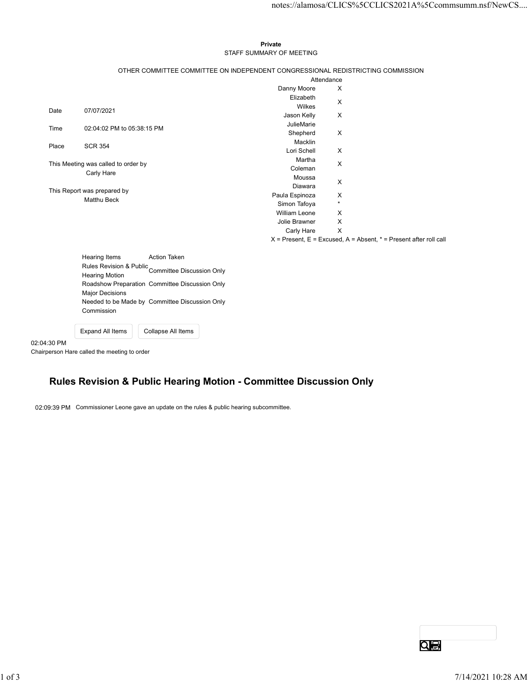#### Private STAFF SUMMARY OF MEETING

|       |                                                                                  |                                                      |                                                                                 |                             | notes://alamosa/CLICS%5CCLICS2021A%5Ccommsumm.nsf/NewCS                   |  |
|-------|----------------------------------------------------------------------------------|------------------------------------------------------|---------------------------------------------------------------------------------|-----------------------------|---------------------------------------------------------------------------|--|
|       |                                                                                  |                                                      |                                                                                 |                             |                                                                           |  |
|       |                                                                                  |                                                      |                                                                                 |                             |                                                                           |  |
|       |                                                                                  |                                                      | Private                                                                         |                             |                                                                           |  |
|       |                                                                                  |                                                      | STAFF SUMMARY OF MEETING                                                        |                             |                                                                           |  |
|       |                                                                                  |                                                      |                                                                                 |                             |                                                                           |  |
|       |                                                                                  |                                                      | OTHER COMMITTEE COMMITTEE ON INDEPENDENT CONGRESSIONAL REDISTRICTING COMMISSION | Attendance                  |                                                                           |  |
|       |                                                                                  |                                                      | Danny Moore                                                                     | X                           |                                                                           |  |
|       |                                                                                  |                                                      | Elizabeth                                                                       |                             |                                                                           |  |
|       | 07/07/2021                                                                       |                                                      | Wilkes                                                                          | X                           |                                                                           |  |
| Date  |                                                                                  |                                                      | Jason Kelly                                                                     | X                           |                                                                           |  |
|       | 02:04:02 PM to 05:38:15 PM                                                       |                                                      | JulieMarie                                                                      |                             |                                                                           |  |
|       |                                                                                  |                                                      |                                                                                 |                             |                                                                           |  |
| Place | <b>SCR 354</b>                                                                   |                                                      |                                                                                 |                             |                                                                           |  |
|       |                                                                                  |                                                      |                                                                                 |                             |                                                                           |  |
|       |                                                                                  |                                                      | Coleman                                                                         |                             |                                                                           |  |
|       |                                                                                  |                                                      | Moussa                                                                          |                             |                                                                           |  |
|       |                                                                                  |                                                      | Diawara                                                                         |                             |                                                                           |  |
|       | Matthu Beck                                                                      |                                                      |                                                                                 | X                           |                                                                           |  |
|       |                                                                                  |                                                      |                                                                                 |                             |                                                                           |  |
|       |                                                                                  |                                                      | William Leone<br>Jolie Brawner                                                  | X<br>X                      |                                                                           |  |
|       |                                                                                  |                                                      | Carly Hare                                                                      | $\mathsf{X}$                |                                                                           |  |
|       |                                                                                  |                                                      |                                                                                 |                             | $X =$ Present, $E =$ Excused, $A =$ Absent, $* =$ Present after roll call |  |
|       |                                                                                  |                                                      |                                                                                 |                             |                                                                           |  |
|       | Hearing Items                                                                    | Action Taken                                         |                                                                                 |                             |                                                                           |  |
|       | <b>Hearing Motion</b>                                                            | Rules Revision & Public<br>Committee Discussion Only |                                                                                 |                             |                                                                           |  |
|       |                                                                                  | Roadshow Preparation Committee Discussion Only       |                                                                                 |                             |                                                                           |  |
|       | <b>Major Decisions</b>                                                           |                                                      |                                                                                 |                             |                                                                           |  |
|       |                                                                                  | Needed to be Made by Committee Discussion Only       |                                                                                 |                             |                                                                           |  |
|       | Commission                                                                       |                                                      |                                                                                 |                             |                                                                           |  |
|       |                                                                                  |                                                      |                                                                                 |                             |                                                                           |  |
|       | Expand All Items                                                                 | Collapse All Items                                   |                                                                                 |                             |                                                                           |  |
| Time  | This Meeting was called to order by<br>Carly Hare<br>This Report was prepared by |                                                      | Shepherd<br>Macklin<br>Lori Schell<br>Martha<br>Paula Espinoza<br>Simon Tafoya  | X<br>X<br>X<br>X<br>$\star$ |                                                                           |  |

| Hearing Items           | <b>Action Taken</b>                            |
|-------------------------|------------------------------------------------|
| Rules Revision & Public | Committee Discussion Only                      |
| <b>Hearing Motion</b>   |                                                |
|                         | Roadshow Preparation Committee Discussion Only |
| <b>Major Decisions</b>  |                                                |
|                         | Needed to be Made by Committee Discussion Only |
| Commission              |                                                |
|                         |                                                |
| <b>Expand All Items</b> | Collapse All Items                             |

02:04:30 PM Chairperson Hare called the meeting to order

## Rules Revision & Public Hearing Motion - Committee Discussion Only

02:09:39 PM Commissioner Leone gave an update on the rules & public hearing subcommittee.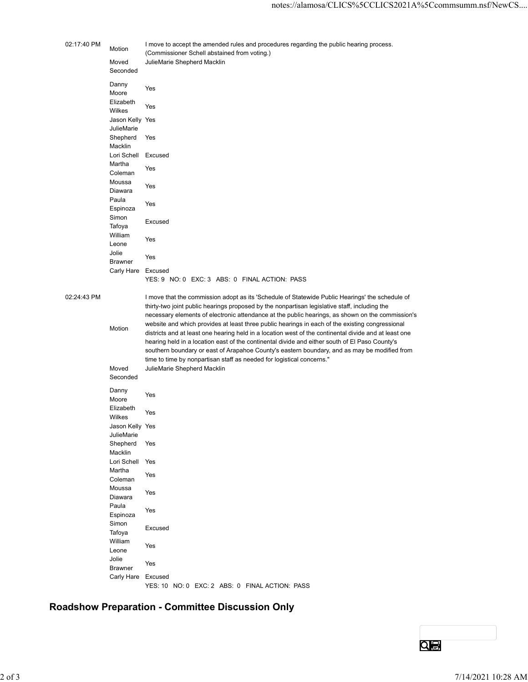| notes://alamosa/CLICS%5CCLICS2021A%5Ccommsumm.nsf/NewCS<br>02:17:40 PM<br>I move to accept the amended rules and procedures regarding the public hearing process.<br>Motion<br>(Commissioner Schell abstained from voting.)<br>JulieMarie Shepherd Macklin<br>Moved<br>Seconded<br>Danny<br>Yes<br>Moore<br>Elizabeth<br>Yes<br>Wilkes<br>Jason Kelly Yes<br>JulieMarie<br>Shepherd Yes<br>Macklin<br>Lori Schell Excused<br>Martha<br>Yes<br>Coleman<br>Moussa<br>Yes<br>Diawara<br>Paula<br>Yes<br>Espinoza<br>Simon<br>Excused<br>Tafoya<br>William<br>Yes<br>Leone<br>Jolie<br>Yes<br><b>Brawner</b><br>Carly Hare Excused<br>YES: 9 NO: 0 EXC: 3 ABS: 0 FINAL ACTION: PASS<br>02:24:43 PM<br>I move that the commission adopt as its 'Schedule of Statewide Public Hearings' the schedule of<br>thirty-two joint public hearings proposed by the nonpartisan legislative staff, including the<br>necessary elements of electronic attendance at the public hearings, as shown on the commission's<br>website and which provides at least three public hearings in each of the existing congressional<br>Motion<br>districts and at least one hearing held in a location west of the continental divide and at least one<br>hearing held in a location east of the continental divide and either south of El Paso County's<br>southern boundary or east of Arapahoe County's eastern boundary, and as may be modified from<br>time to time by nonpartisan staff as needed for logistical concerns."<br>JulieMarie Shepherd Macklin<br>Moved<br>Seconded<br>Danny<br>Yes<br>Moore<br>Elizabeth<br>Yes<br>Wilkes<br>Jason Kelly Yes<br>JulieMarie<br>Shepherd<br>Yes<br>Macklin<br>Lori Schell Yes<br>Martha<br>Yes<br>Coleman<br>Moussa<br>Yes<br>Diawara<br>Paula<br>Yes<br>Espinoza<br>Simon<br>Excused<br>Tafoya<br>William<br>Yes<br>Leone<br>Jolie<br>Yes<br><b>Brawner</b><br>Carly Hare Excused<br>YES: 10 NO: 0 EXC: 2 ABS: 0 FINAL ACTION: PASS<br>QI D |  |                    |
|---------------------------------------------------------------------------------------------------------------------------------------------------------------------------------------------------------------------------------------------------------------------------------------------------------------------------------------------------------------------------------------------------------------------------------------------------------------------------------------------------------------------------------------------------------------------------------------------------------------------------------------------------------------------------------------------------------------------------------------------------------------------------------------------------------------------------------------------------------------------------------------------------------------------------------------------------------------------------------------------------------------------------------------------------------------------------------------------------------------------------------------------------------------------------------------------------------------------------------------------------------------------------------------------------------------------------------------------------------------------------------------------------------------------------------------------------------------------------------------------------------------------------------------------------------------------------------------------------------------------------------------------------------------------------------------------------------------------------------------------------------------------------------------------------------------------------------------------------------------------------------------------------------------------------------------------------------------------|--|--------------------|
|                                                                                                                                                                                                                                                                                                                                                                                                                                                                                                                                                                                                                                                                                                                                                                                                                                                                                                                                                                                                                                                                                                                                                                                                                                                                                                                                                                                                                                                                                                                                                                                                                                                                                                                                                                                                                                                                                                                                                                     |  |                    |
|                                                                                                                                                                                                                                                                                                                                                                                                                                                                                                                                                                                                                                                                                                                                                                                                                                                                                                                                                                                                                                                                                                                                                                                                                                                                                                                                                                                                                                                                                                                                                                                                                                                                                                                                                                                                                                                                                                                                                                     |  |                    |
|                                                                                                                                                                                                                                                                                                                                                                                                                                                                                                                                                                                                                                                                                                                                                                                                                                                                                                                                                                                                                                                                                                                                                                                                                                                                                                                                                                                                                                                                                                                                                                                                                                                                                                                                                                                                                                                                                                                                                                     |  |                    |
| Roadshow Preparation - Committee Discussion Only                                                                                                                                                                                                                                                                                                                                                                                                                                                                                                                                                                                                                                                                                                                                                                                                                                                                                                                                                                                                                                                                                                                                                                                                                                                                                                                                                                                                                                                                                                                                                                                                                                                                                                                                                                                                                                                                                                                    |  |                    |
|                                                                                                                                                                                                                                                                                                                                                                                                                                                                                                                                                                                                                                                                                                                                                                                                                                                                                                                                                                                                                                                                                                                                                                                                                                                                                                                                                                                                                                                                                                                                                                                                                                                                                                                                                                                                                                                                                                                                                                     |  |                    |
|                                                                                                                                                                                                                                                                                                                                                                                                                                                                                                                                                                                                                                                                                                                                                                                                                                                                                                                                                                                                                                                                                                                                                                                                                                                                                                                                                                                                                                                                                                                                                                                                                                                                                                                                                                                                                                                                                                                                                                     |  |                    |
|                                                                                                                                                                                                                                                                                                                                                                                                                                                                                                                                                                                                                                                                                                                                                                                                                                                                                                                                                                                                                                                                                                                                                                                                                                                                                                                                                                                                                                                                                                                                                                                                                                                                                                                                                                                                                                                                                                                                                                     |  |                    |
|                                                                                                                                                                                                                                                                                                                                                                                                                                                                                                                                                                                                                                                                                                                                                                                                                                                                                                                                                                                                                                                                                                                                                                                                                                                                                                                                                                                                                                                                                                                                                                                                                                                                                                                                                                                                                                                                                                                                                                     |  |                    |
|                                                                                                                                                                                                                                                                                                                                                                                                                                                                                                                                                                                                                                                                                                                                                                                                                                                                                                                                                                                                                                                                                                                                                                                                                                                                                                                                                                                                                                                                                                                                                                                                                                                                                                                                                                                                                                                                                                                                                                     |  |                    |
|                                                                                                                                                                                                                                                                                                                                                                                                                                                                                                                                                                                                                                                                                                                                                                                                                                                                                                                                                                                                                                                                                                                                                                                                                                                                                                                                                                                                                                                                                                                                                                                                                                                                                                                                                                                                                                                                                                                                                                     |  |                    |
|                                                                                                                                                                                                                                                                                                                                                                                                                                                                                                                                                                                                                                                                                                                                                                                                                                                                                                                                                                                                                                                                                                                                                                                                                                                                                                                                                                                                                                                                                                                                                                                                                                                                                                                                                                                                                                                                                                                                                                     |  |                    |
|                                                                                                                                                                                                                                                                                                                                                                                                                                                                                                                                                                                                                                                                                                                                                                                                                                                                                                                                                                                                                                                                                                                                                                                                                                                                                                                                                                                                                                                                                                                                                                                                                                                                                                                                                                                                                                                                                                                                                                     |  |                    |
|                                                                                                                                                                                                                                                                                                                                                                                                                                                                                                                                                                                                                                                                                                                                                                                                                                                                                                                                                                                                                                                                                                                                                                                                                                                                                                                                                                                                                                                                                                                                                                                                                                                                                                                                                                                                                                                                                                                                                                     |  |                    |
|                                                                                                                                                                                                                                                                                                                                                                                                                                                                                                                                                                                                                                                                                                                                                                                                                                                                                                                                                                                                                                                                                                                                                                                                                                                                                                                                                                                                                                                                                                                                                                                                                                                                                                                                                                                                                                                                                                                                                                     |  |                    |
|                                                                                                                                                                                                                                                                                                                                                                                                                                                                                                                                                                                                                                                                                                                                                                                                                                                                                                                                                                                                                                                                                                                                                                                                                                                                                                                                                                                                                                                                                                                                                                                                                                                                                                                                                                                                                                                                                                                                                                     |  |                    |
|                                                                                                                                                                                                                                                                                                                                                                                                                                                                                                                                                                                                                                                                                                                                                                                                                                                                                                                                                                                                                                                                                                                                                                                                                                                                                                                                                                                                                                                                                                                                                                                                                                                                                                                                                                                                                                                                                                                                                                     |  |                    |
|                                                                                                                                                                                                                                                                                                                                                                                                                                                                                                                                                                                                                                                                                                                                                                                                                                                                                                                                                                                                                                                                                                                                                                                                                                                                                                                                                                                                                                                                                                                                                                                                                                                                                                                                                                                                                                                                                                                                                                     |  |                    |
|                                                                                                                                                                                                                                                                                                                                                                                                                                                                                                                                                                                                                                                                                                                                                                                                                                                                                                                                                                                                                                                                                                                                                                                                                                                                                                                                                                                                                                                                                                                                                                                                                                                                                                                                                                                                                                                                                                                                                                     |  |                    |
|                                                                                                                                                                                                                                                                                                                                                                                                                                                                                                                                                                                                                                                                                                                                                                                                                                                                                                                                                                                                                                                                                                                                                                                                                                                                                                                                                                                                                                                                                                                                                                                                                                                                                                                                                                                                                                                                                                                                                                     |  |                    |
|                                                                                                                                                                                                                                                                                                                                                                                                                                                                                                                                                                                                                                                                                                                                                                                                                                                                                                                                                                                                                                                                                                                                                                                                                                                                                                                                                                                                                                                                                                                                                                                                                                                                                                                                                                                                                                                                                                                                                                     |  |                    |
|                                                                                                                                                                                                                                                                                                                                                                                                                                                                                                                                                                                                                                                                                                                                                                                                                                                                                                                                                                                                                                                                                                                                                                                                                                                                                                                                                                                                                                                                                                                                                                                                                                                                                                                                                                                                                                                                                                                                                                     |  |                    |
|                                                                                                                                                                                                                                                                                                                                                                                                                                                                                                                                                                                                                                                                                                                                                                                                                                                                                                                                                                                                                                                                                                                                                                                                                                                                                                                                                                                                                                                                                                                                                                                                                                                                                                                                                                                                                                                                                                                                                                     |  |                    |
|                                                                                                                                                                                                                                                                                                                                                                                                                                                                                                                                                                                                                                                                                                                                                                                                                                                                                                                                                                                                                                                                                                                                                                                                                                                                                                                                                                                                                                                                                                                                                                                                                                                                                                                                                                                                                                                                                                                                                                     |  |                    |
|                                                                                                                                                                                                                                                                                                                                                                                                                                                                                                                                                                                                                                                                                                                                                                                                                                                                                                                                                                                                                                                                                                                                                                                                                                                                                                                                                                                                                                                                                                                                                                                                                                                                                                                                                                                                                                                                                                                                                                     |  |                    |
|                                                                                                                                                                                                                                                                                                                                                                                                                                                                                                                                                                                                                                                                                                                                                                                                                                                                                                                                                                                                                                                                                                                                                                                                                                                                                                                                                                                                                                                                                                                                                                                                                                                                                                                                                                                                                                                                                                                                                                     |  |                    |
|                                                                                                                                                                                                                                                                                                                                                                                                                                                                                                                                                                                                                                                                                                                                                                                                                                                                                                                                                                                                                                                                                                                                                                                                                                                                                                                                                                                                                                                                                                                                                                                                                                                                                                                                                                                                                                                                                                                                                                     |  |                    |
|                                                                                                                                                                                                                                                                                                                                                                                                                                                                                                                                                                                                                                                                                                                                                                                                                                                                                                                                                                                                                                                                                                                                                                                                                                                                                                                                                                                                                                                                                                                                                                                                                                                                                                                                                                                                                                                                                                                                                                     |  |                    |
|                                                                                                                                                                                                                                                                                                                                                                                                                                                                                                                                                                                                                                                                                                                                                                                                                                                                                                                                                                                                                                                                                                                                                                                                                                                                                                                                                                                                                                                                                                                                                                                                                                                                                                                                                                                                                                                                                                                                                                     |  |                    |
|                                                                                                                                                                                                                                                                                                                                                                                                                                                                                                                                                                                                                                                                                                                                                                                                                                                                                                                                                                                                                                                                                                                                                                                                                                                                                                                                                                                                                                                                                                                                                                                                                                                                                                                                                                                                                                                                                                                                                                     |  |                    |
|                                                                                                                                                                                                                                                                                                                                                                                                                                                                                                                                                                                                                                                                                                                                                                                                                                                                                                                                                                                                                                                                                                                                                                                                                                                                                                                                                                                                                                                                                                                                                                                                                                                                                                                                                                                                                                                                                                                                                                     |  |                    |
|                                                                                                                                                                                                                                                                                                                                                                                                                                                                                                                                                                                                                                                                                                                                                                                                                                                                                                                                                                                                                                                                                                                                                                                                                                                                                                                                                                                                                                                                                                                                                                                                                                                                                                                                                                                                                                                                                                                                                                     |  |                    |
|                                                                                                                                                                                                                                                                                                                                                                                                                                                                                                                                                                                                                                                                                                                                                                                                                                                                                                                                                                                                                                                                                                                                                                                                                                                                                                                                                                                                                                                                                                                                                                                                                                                                                                                                                                                                                                                                                                                                                                     |  |                    |
|                                                                                                                                                                                                                                                                                                                                                                                                                                                                                                                                                                                                                                                                                                                                                                                                                                                                                                                                                                                                                                                                                                                                                                                                                                                                                                                                                                                                                                                                                                                                                                                                                                                                                                                                                                                                                                                                                                                                                                     |  |                    |
|                                                                                                                                                                                                                                                                                                                                                                                                                                                                                                                                                                                                                                                                                                                                                                                                                                                                                                                                                                                                                                                                                                                                                                                                                                                                                                                                                                                                                                                                                                                                                                                                                                                                                                                                                                                                                                                                                                                                                                     |  |                    |
|                                                                                                                                                                                                                                                                                                                                                                                                                                                                                                                                                                                                                                                                                                                                                                                                                                                                                                                                                                                                                                                                                                                                                                                                                                                                                                                                                                                                                                                                                                                                                                                                                                                                                                                                                                                                                                                                                                                                                                     |  |                    |
|                                                                                                                                                                                                                                                                                                                                                                                                                                                                                                                                                                                                                                                                                                                                                                                                                                                                                                                                                                                                                                                                                                                                                                                                                                                                                                                                                                                                                                                                                                                                                                                                                                                                                                                                                                                                                                                                                                                                                                     |  |                    |
|                                                                                                                                                                                                                                                                                                                                                                                                                                                                                                                                                                                                                                                                                                                                                                                                                                                                                                                                                                                                                                                                                                                                                                                                                                                                                                                                                                                                                                                                                                                                                                                                                                                                                                                                                                                                                                                                                                                                                                     |  |                    |
|                                                                                                                                                                                                                                                                                                                                                                                                                                                                                                                                                                                                                                                                                                                                                                                                                                                                                                                                                                                                                                                                                                                                                                                                                                                                                                                                                                                                                                                                                                                                                                                                                                                                                                                                                                                                                                                                                                                                                                     |  |                    |
|                                                                                                                                                                                                                                                                                                                                                                                                                                                                                                                                                                                                                                                                                                                                                                                                                                                                                                                                                                                                                                                                                                                                                                                                                                                                                                                                                                                                                                                                                                                                                                                                                                                                                                                                                                                                                                                                                                                                                                     |  | 7/14/2021 10:28 AM |

# Roadshow Preparation - Committee Discussion Only